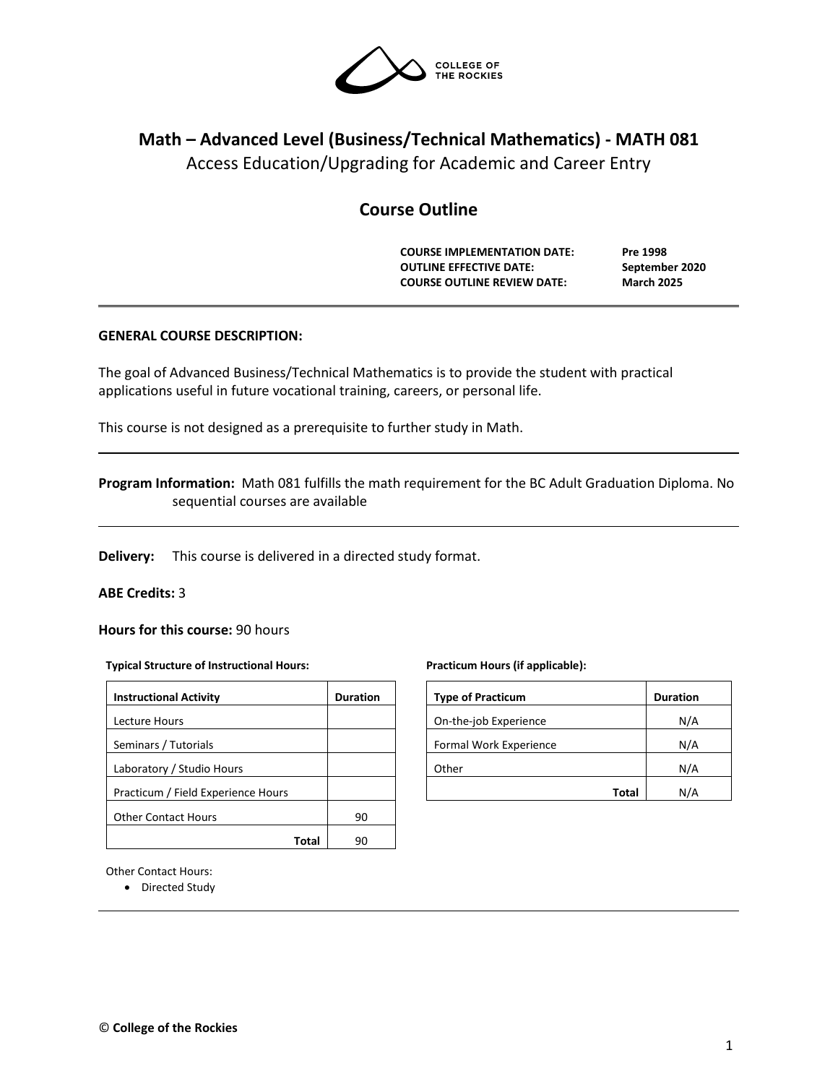

# **Math – Advanced Level (Business/Technical Mathematics) - MATH 081**

Access Education/Upgrading for Academic and Career Entry

## **Course Outline**

**COURSE IMPLEMENTATION DATE: Pre 1998 OUTLINE EFFECTIVE DATE: September 2020 COURSE OUTLINE REVIEW DATE: March 2025**

## **GENERAL COURSE DESCRIPTION:**

The goal of Advanced Business/Technical Mathematics is to provide the student with practical applications useful in future vocational training, careers, or personal life.

This course is not designed as a prerequisite to further study in Math.

## **Program Information:** Math 081 fulfills the math requirement for the BC Adult Graduation Diploma. No sequential courses are available

**Delivery:** This course is delivered in a directed study format.

## **ABE Credits:** 3

**Hours for this course:** 90 hours

#### **Typical Structure of Instructional Hours:**

| <b>Instructional Activity</b>      | <b>Duration</b> |  |  |
|------------------------------------|-----------------|--|--|
| Lecture Hours                      |                 |  |  |
| Seminars / Tutorials               |                 |  |  |
| Laboratory / Studio Hours          |                 |  |  |
| Practicum / Field Experience Hours |                 |  |  |
| <b>Other Contact Hours</b>         | 90              |  |  |
|                                    |                 |  |  |

#### **Practicum Hours (if applicable):**

| <b>Type of Practicum</b> | <b>Duration</b> |
|--------------------------|-----------------|
| On-the-job Experience    | N/A             |
| Formal Work Experience   | N/A             |
| Other                    | N/A             |
| Total                    | N/A             |

Other Contact Hours:

• Directed Study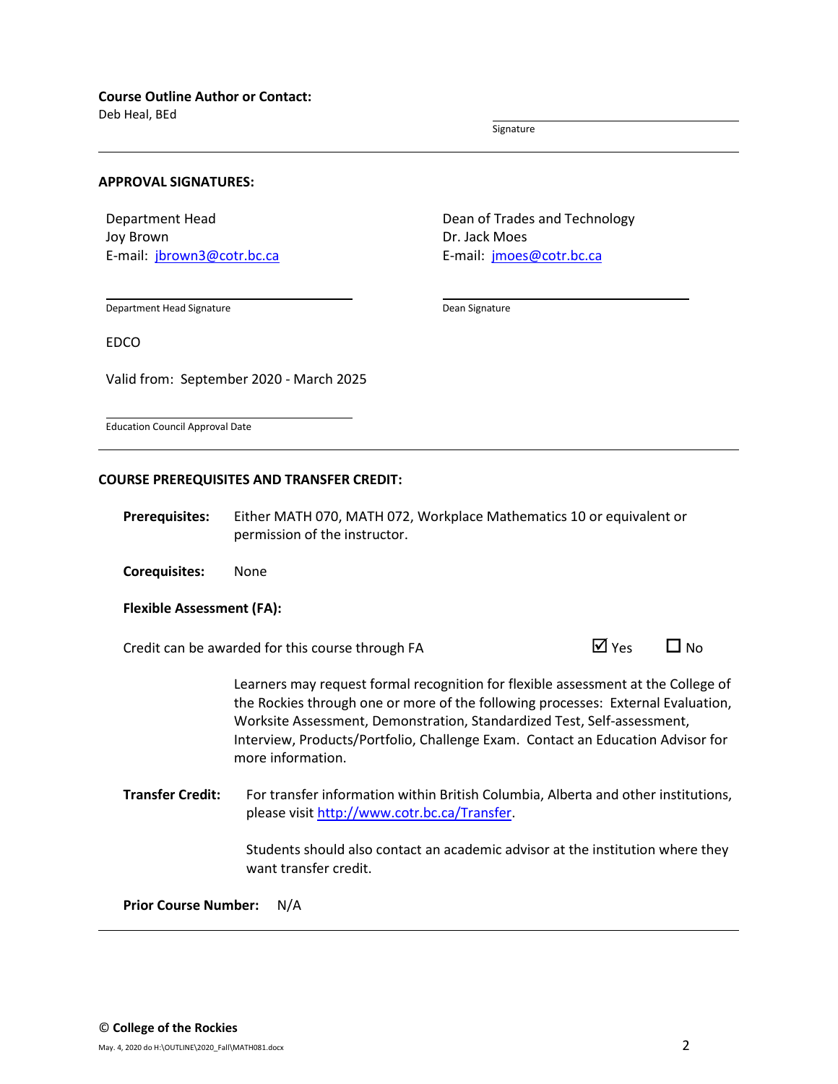Deb Heal, BEd

Signature

#### **APPROVAL SIGNATURES:**

Department Head Joy Brown E-mail: [jbrown3@cotr.bc.ca](mailto:jbrown3@cotr.bc.ca) Dean of Trades and Technology Dr. Jack Moes E-mail: *[jmoes@cotr.bc.ca](mailto:rworkun@cotr.bc.ca)* 

Department Head Signature

Dean Signature

EDCO

Valid from: September 2020 - March 2025

Education Council Approval Date

#### **COURSE PREREQUISITES AND TRANSFER CREDIT:**

**Prerequisites:** Either MATH 070, MATH 072, Workplace Mathematics 10 or equivalent or permission of the instructor.

**Corequisites:** None

#### **Flexible Assessment (FA):**

Credit can be awarded for this course through FA  $\Box$  Yes  $\Box$  No

Learners may request formal recognition for flexible assessment at the College of the Rockies through one or more of the following processes: External Evaluation, Worksite Assessment, Demonstration, Standardized Test, Self-assessment, Interview, Products/Portfolio, Challenge Exam. Contact an Education Advisor for more information.

**Transfer Credit:** For transfer information within British Columbia, Alberta and other institutions, please visit [http://www.cotr.bc.ca/Transfer.](http://www.cotr.bc.ca/Transfer)

> Students should also contact an academic advisor at the institution where they want transfer credit.

**Prior Course Number:** N/A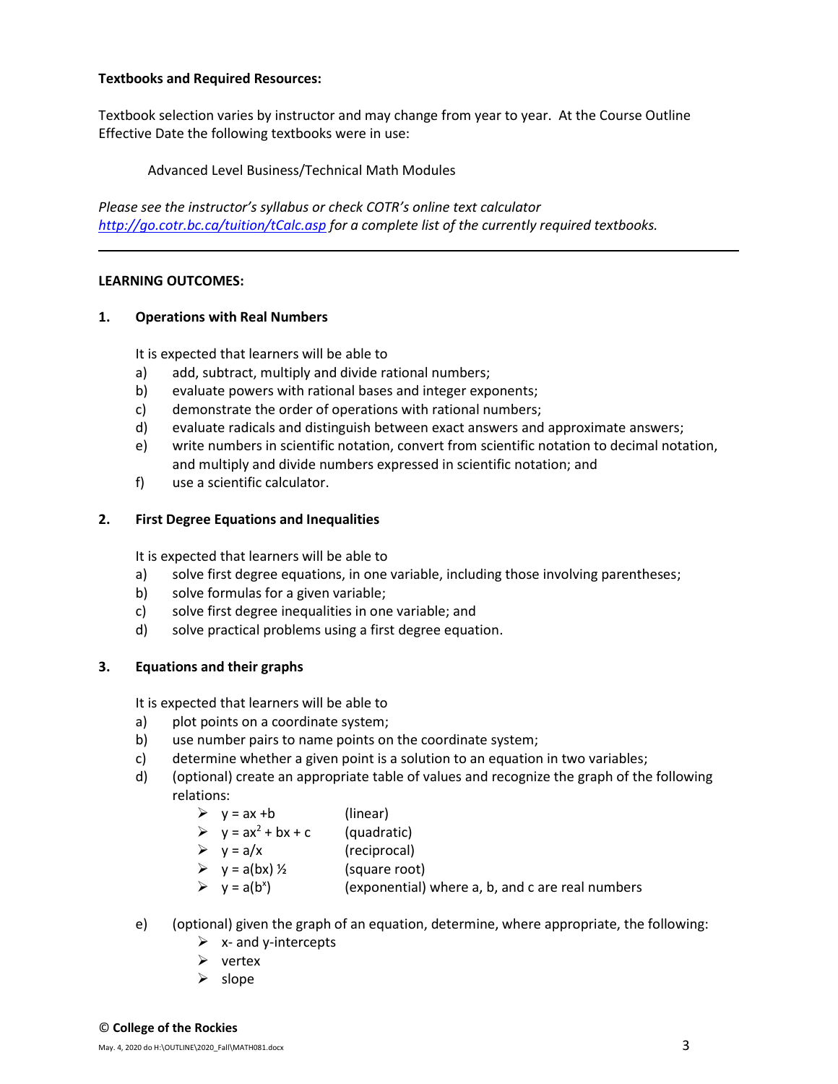## **Textbooks and Required Resources:**

Textbook selection varies by instructor and may change from year to year. At the Course Outline Effective Date the following textbooks were in use:

Advanced Level Business/Technical Math Modules

*Please see the instructor's syllabus or check COTR's online text calculator <http://go.cotr.bc.ca/tuition/tCalc.asp> for a complete list of the currently required textbooks.*

## **LEARNING OUTCOMES:**

## **1. Operations with Real Numbers**

It is expected that learners will be able to

- a) add, subtract, multiply and divide rational numbers;
- b) evaluate powers with rational bases and integer exponents;
- c) demonstrate the order of operations with rational numbers;
- d) evaluate radicals and distinguish between exact answers and approximate answers;
- e) write numbers in scientific notation, convert from scientific notation to decimal notation, and multiply and divide numbers expressed in scientific notation; and
- f) use a scientific calculator.

## **2. First Degree Equations and Inequalities**

It is expected that learners will be able to

- a) solve first degree equations, in one variable, including those involving parentheses;
- b) solve formulas for a given variable;
- c) solve first degree inequalities in one variable; and
- d) solve practical problems using a first degree equation.

## **3. Equations and their graphs**

It is expected that learners will be able to

- a) plot points on a coordinate system;
- b) use number pairs to name points on the coordinate system;
- c) determine whether a given point is a solution to an equation in two variables;
- d) (optional) create an appropriate table of values and recognize the graph of the following relations:

| $y = ax + b$ | (linear) |
|--------------|----------|
|              |          |

| $\blacktriangleright$ | $y = ax^2 + bx + c$ | (quadratic) |
|-----------------------|---------------------|-------------|
|                       |                     |             |

- $\triangleright \quad y = a/x$  (reciprocal)
- $\triangleright$  y = a(bx)  $\frac{1}{2}$  (square root)
- $\triangleright$  y = a(b<sup>x</sup>) ) (exponential) where a, b, and c are real numbers
- e) (optional) given the graph of an equation, determine, where appropriate, the following:
	- $\triangleright$  x- and y-intercepts
	- ➢ vertex
	- ➢ slope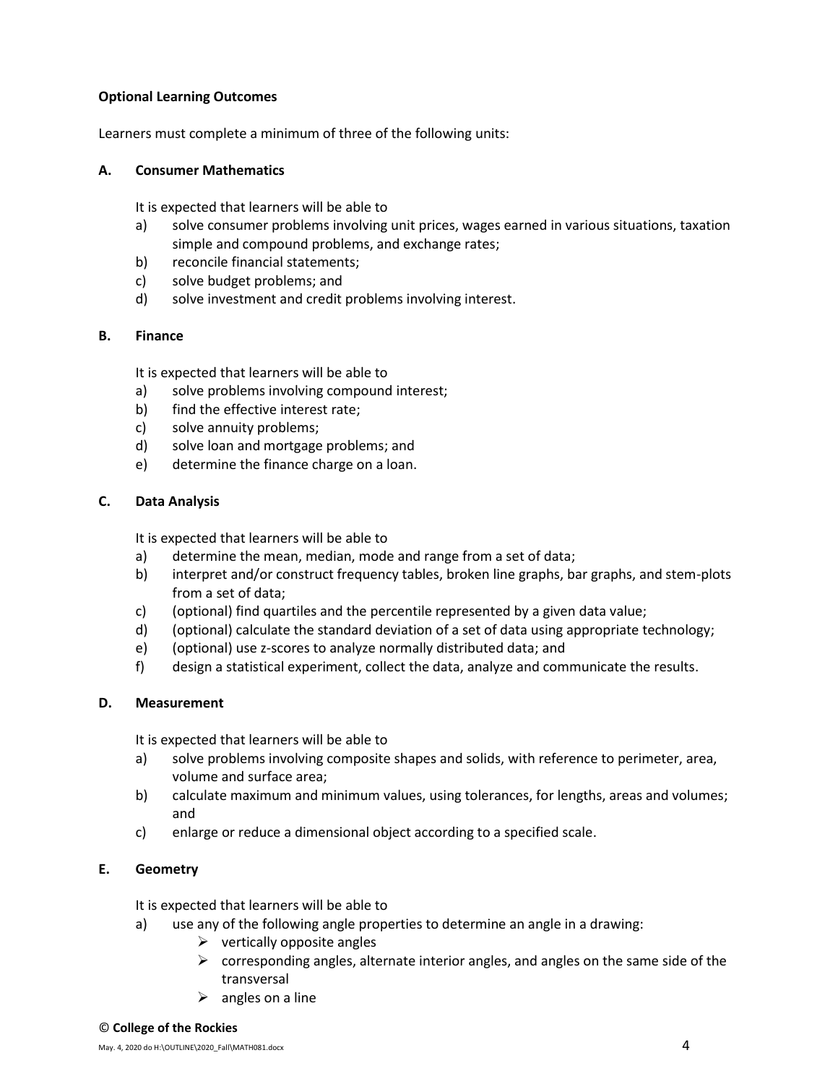## **Optional Learning Outcomes**

Learners must complete a minimum of three of the following units:

## **A. Consumer Mathematics**

It is expected that learners will be able to

- a) solve consumer problems involving unit prices, wages earned in various situations, taxation simple and compound problems, and exchange rates;
- b) reconcile financial statements;
- c) solve budget problems; and
- d) solve investment and credit problems involving interest.

## **B. Finance**

It is expected that learners will be able to

- a) solve problems involving compound interest;
- b) find the effective interest rate;
- c) solve annuity problems;
- d) solve loan and mortgage problems; and
- e) determine the finance charge on a loan.

## **C. Data Analysis**

It is expected that learners will be able to

- a) determine the mean, median, mode and range from a set of data;
- b) interpret and/or construct frequency tables, broken line graphs, bar graphs, and stem-plots from a set of data;
- c) (optional) find quartiles and the percentile represented by a given data value;
- d) (optional) calculate the standard deviation of a set of data using appropriate technology;
- e) (optional) use z-scores to analyze normally distributed data; and
- f) design a statistical experiment, collect the data, analyze and communicate the results.

## **D. Measurement**

It is expected that learners will be able to

- a) solve problems involving composite shapes and solids, with reference to perimeter, area, volume and surface area;
- b) calculate maximum and minimum values, using tolerances, for lengths, areas and volumes; and
- c) enlarge or reduce a dimensional object according to a specified scale.

## **E. Geometry**

It is expected that learners will be able to

- a) use any of the following angle properties to determine an angle in a drawing:
	- $\triangleright$  vertically opposite angles
	- $\triangleright$  corresponding angles, alternate interior angles, and angles on the same side of the transversal
	- $\triangleright$  angles on a line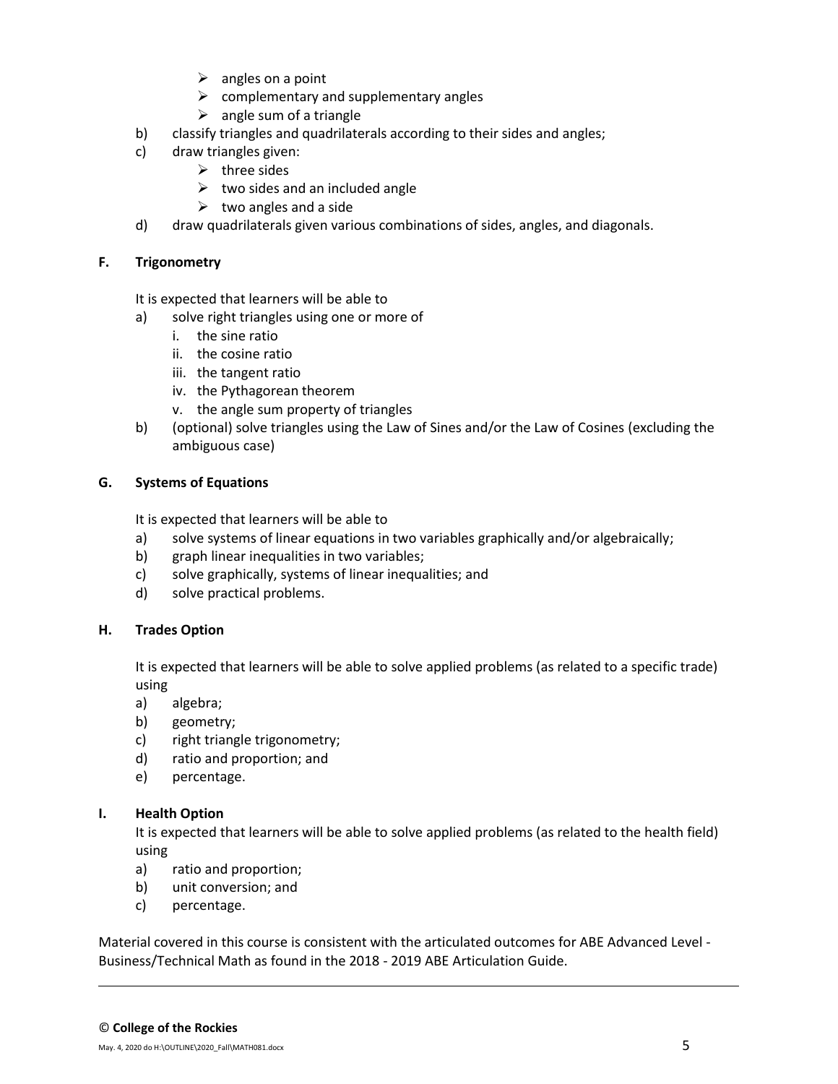- $\triangleright$  angles on a point
- $\triangleright$  complementary and supplementary angles
- $\triangleright$  angle sum of a triangle
- b) classify triangles and quadrilaterals according to their sides and angles;
- c) draw triangles given:
	- $\triangleright$  three sides
	- $\triangleright$  two sides and an included angle
	- $\triangleright$  two angles and a side
- d) draw quadrilaterals given various combinations of sides, angles, and diagonals.

## **F. Trigonometry**

It is expected that learners will be able to

- a) solve right triangles using one or more of
	- i. the sine ratio
	- ii. the cosine ratio
	- iii. the tangent ratio
	- iv. the Pythagorean theorem
	- v. the angle sum property of triangles
- b) (optional) solve triangles using the Law of Sines and/or the Law of Cosines (excluding the ambiguous case)

## **G. Systems of Equations**

It is expected that learners will be able to

- a) solve systems of linear equations in two variables graphically and/or algebraically;
- b) graph linear inequalities in two variables;
- c) solve graphically, systems of linear inequalities; and
- d) solve practical problems.

## **H. Trades Option**

It is expected that learners will be able to solve applied problems (as related to a specific trade) using

- a) algebra;
- b) geometry;
- c) right triangle trigonometry;
- d) ratio and proportion; and
- e) percentage.

## **I. Health Option**

It is expected that learners will be able to solve applied problems (as related to the health field) using

- a) ratio and proportion;
- b) unit conversion; and
- c) percentage.

Material covered in this course is consistent with the articulated outcomes for ABE Advanced Level - Business/Technical Math as found in the 2018 - 2019 ABE Articulation Guide.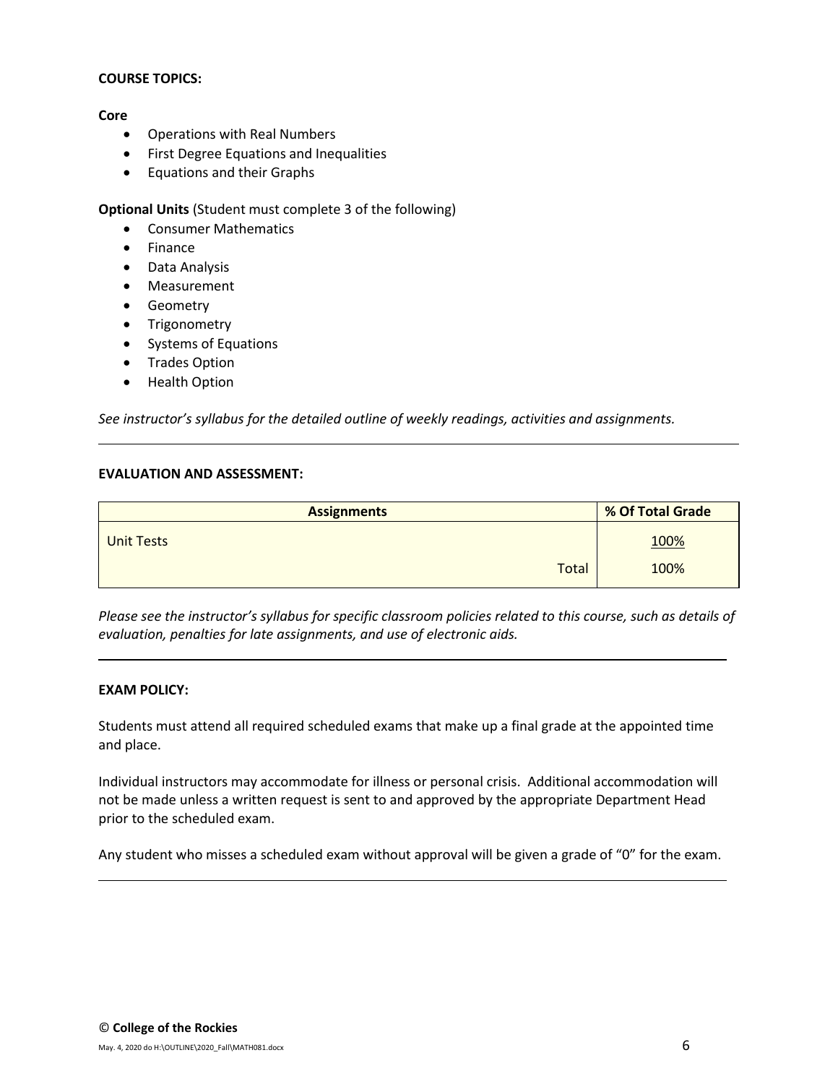#### **COURSE TOPICS:**

#### **Core**

- Operations with Real Numbers
- First Degree Equations and Inequalities
- Equations and their Graphs

**Optional Units** (Student must complete 3 of the following)

- Consumer Mathematics
- Finance
- Data Analysis
- Measurement
- Geometry
- Trigonometry
- Systems of Equations
- Trades Option
- Health Option

*See instructor's syllabus for the detailed outline of weekly readings, activities and assignments.* 

#### **EVALUATION AND ASSESSMENT:**

| <b>Assignments</b> | % Of Total Grade |  |  |
|--------------------|------------------|--|--|
| <b>Unit Tests</b>  | <u>100%</u>      |  |  |
| Total              | 100%             |  |  |

*Please see the instructor's syllabus for specific classroom policies related to this course, such as details of evaluation, penalties for late assignments, and use of electronic aids.*

#### **EXAM POLICY:**

Students must attend all required scheduled exams that make up a final grade at the appointed time and place.

Individual instructors may accommodate for illness or personal crisis. Additional accommodation will not be made unless a written request is sent to and approved by the appropriate Department Head prior to the scheduled exam.

Any student who misses a scheduled exam without approval will be given a grade of "0" for the exam.